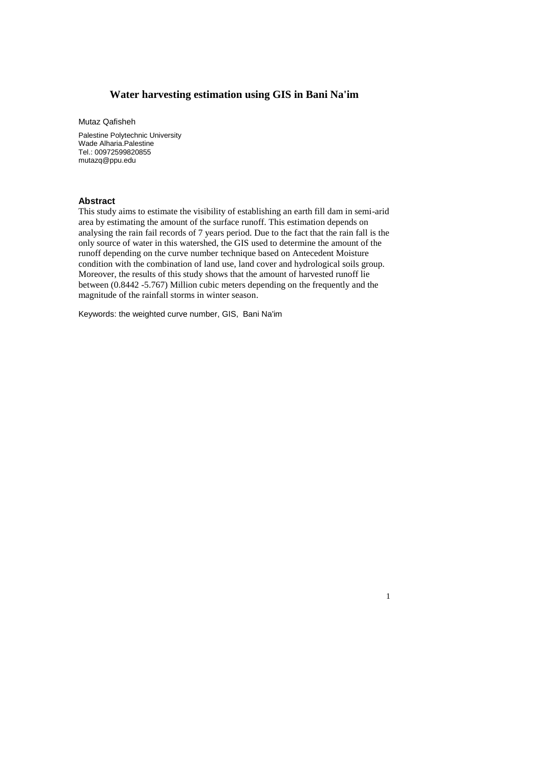# **Water harvesting estimation using GIS in Bani Na'im**

Mutaz Qafisheh

Palestine Polytechnic University Wade Alharia.Palestine Tel.: 00972599820855 mutazq@ppu.edu

#### **Abstract**

This study aims to estimate the visibility of establishing an earth fill dam in semi-arid area by estimating the amount of the surface runoff. This estimation depends on analysing the rain fail records of 7 years period. Due to the fact that the rain fall is the only source of water in this watershed, the GIS used to determine the amount of the runoff depending on the curve number technique based on Antecedent Moisture condition with the combination of land use, land cover and hydrological soils group. Moreover, the results of this study shows that the amount of harvested runoff lie between (0.8442 -5.767) Million cubic meters depending on the frequently and the magnitude of the rainfall storms in winter season.

1

Keywords: the weighted curve number, GIS, Bani Na'im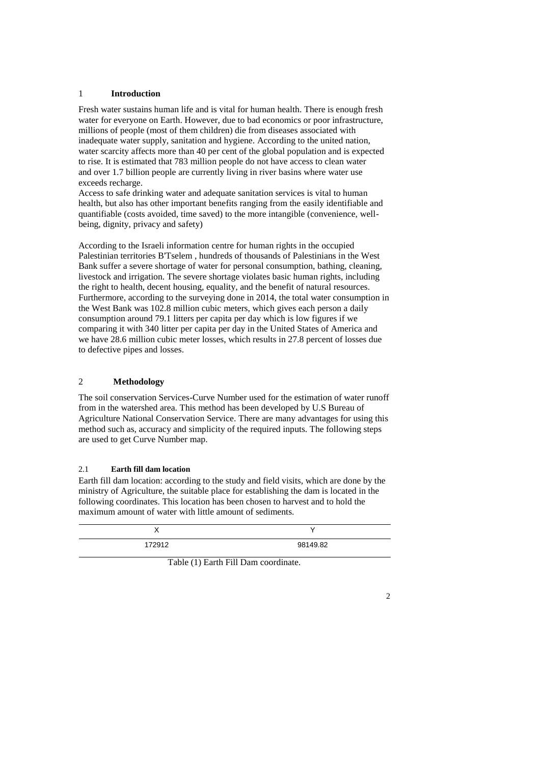### 1 **Introduction**

Fresh water sustains human life and is vital for human health. There is enough fresh water for everyone on Earth. However, due to bad economics or poor infrastructure, millions of people (most of them children) die from diseases associated with inadequate water supply, sanitation and hygiene. According to the united nation, water scarcity affects more than 40 per cent of the global population and is expected to rise. It is estimated that 783 million people do not have access to clean water and over 1.7 billion people are currently living in river basins where water use exceeds recharge.

Access to safe drinking water and adequate sanitation services is vital to human health, but also has other important benefits ranging from the easily identifiable and quantifiable (costs avoided, time saved) to the more intangible (convenience, wellbeing, dignity, privacy and safety)

According to the Israeli information centre for human rights in the occupied Palestinian territories B'Tselem , hundreds of thousands of Palestinians in the West Bank suffer a severe shortage of water for personal consumption, bathing, cleaning, livestock and irrigation. The severe shortage violates basic human rights, including the right to health, decent housing, equality, and the benefit of natural resources. Furthermore, according to the surveying done in 2014, the total water consumption in the West Bank was 102.8 million cubic meters, which gives each person a daily consumption around 79.1 litters per capita per day which is low figures if we comparing it with 340 litter per capita per day in the United States of America and we have 28.6 million cubic meter losses, which results in 27.8 percent of losses due to defective pipes and losses.

## 2 **Methodology**

The soil conservation Services-Curve Number used for the estimation of water runoff from in the watershed area. This method has been developed by U.S Bureau of Agriculture National Conservation Service. There are many advantages for using this method such as, accuracy and simplicity of the required inputs. The following steps are used to get Curve Number map.

## 2.1 **Earth fill dam location**

Earth fill dam location: according to the study and field visits, which are done by the ministry of Agriculture, the suitable place for establishing the dam is located in the following coordinates. This location has been chosen to harvest and to hold the maximum amount of water with little amount of sediments.

| 172912 | 98149.82 |
|--------|----------|

Table (1) Earth Fill Dam coordinate.

 $\mathfrak{D}$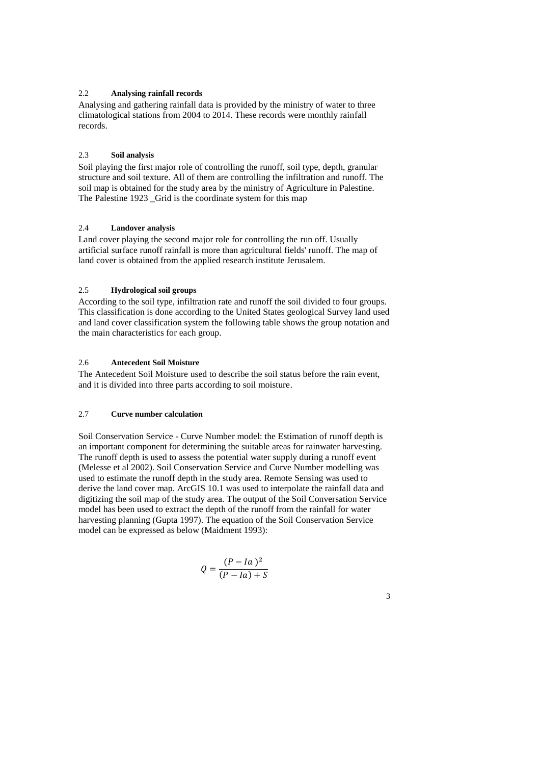### 2.2 **Analysing rainfall records**

Analysing and gathering rainfall data is provided by the ministry of water to three climatological stations from 2004 to 2014. These records were monthly rainfall records.

## 2.3 **Soil analysis**

Soil playing the first major role of controlling the runoff, soil type, depth, granular structure and soil texture. All of them are controlling the infiltration and runoff. The soil map is obtained for the study area by the ministry of Agriculture in Palestine. The Palestine 1923 Grid is the coordinate system for this map

## 2.4 **Landover analysis**

Land cover playing the second major role for controlling the run off. Usually artificial surface runoff rainfall is more than agricultural fields' runoff. The map of land cover is obtained from the applied research institute Jerusalem.

### 2.5 **Hydrological soil groups**

According to the soil type, infiltration rate and runoff the soil divided to four groups. This classification is done according to the United States geological Survey land used and land cover classification system the following table shows the group notation and the main characteristics for each group.

## 2.6 **Antecedent Soil Moisture**

The Antecedent Soil Moisture used to describe the soil status before the rain event, and it is divided into three parts according to soil moisture.

### 2.7 **Curve number calculation**

Soil Conservation Service - Curve Number model: the Estimation of runoff depth is an important component for determining the suitable areas for rainwater harvesting. The runoff depth is used to assess the potential water supply during a runoff event (Melesse et al 2002). Soil Conservation Service and Curve Number modelling was used to estimate the runoff depth in the study area. Remote Sensing was used to derive the land cover map. ArcGIS 10.1 was used to interpolate the rainfall data and digitizing the soil map of the study area. The output of the Soil Conversation Service model has been used to extract the depth of the runoff from the rainfall for water harvesting planning (Gupta 1997). The equation of the Soil Conservation Service model can be expressed as below (Maidment 1993):

$$
Q = \frac{(P - Ia)^2}{(P - Ia) + S}
$$

3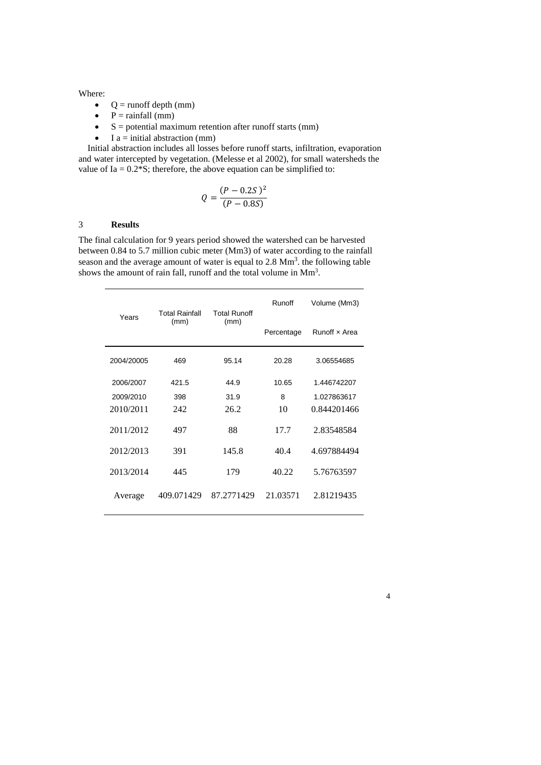#### Where:

- $\bullet$  Q = runoff depth (mm)
- $\bullet$  P = rainfall (mm)
- $\bullet$  S = potential maximum retention after runoff starts (mm)
- $I a = initial abstraction (mm)$

 Initial abstraction includes all losses before runoff starts, infiltration, evaporation and water intercepted by vegetation. (Melesse et al 2002), for small watersheds the value of Ia =  $0.2*S$ ; therefore, the above equation can be simplified to:

$$
Q = \frac{(P - 0.2S)^2}{(P - 0.8S)}
$$

## 3 **Results**

The final calculation for 9 years period showed the watershed can be harvested between 0.84 to 5.7 million cubic meter (Mm3) of water according to the rainfall season and the average amount of water is equal to  $2.8 \text{ Mm}^3$ . the following table shows the amount of rain fall, runoff and the total volume in  $\text{Mm}^3$ .

| Years      | <b>Total Rainfall</b><br><b>Total Runoff</b> | Runoff     | Volume (Mm3)  |             |
|------------|----------------------------------------------|------------|---------------|-------------|
| (mm)       | (mm)                                         | Percentage | Runoff x Area |             |
| 2004/20005 | 469                                          | 95.14      | 20.28         | 3.06554685  |
| 2006/2007  | 421.5                                        | 44.9       | 10.65         | 1.446742207 |
| 2009/2010  | 398                                          | 31.9       | 8             | 1.027863617 |
| 2010/2011  | 242                                          | 26.2       | 10            | 0.844201466 |
| 2011/2012  | 497                                          | 88         | 17.7          | 2.83548584  |
| 2012/2013  | 391                                          | 145.8      | 40.4          | 4.697884494 |
| 2013/2014  | 445                                          | 179        | 40.22         | 5.76763597  |
| Average    | 409.071429                                   | 87.2771429 | 21.03571      | 2.81219435  |

4